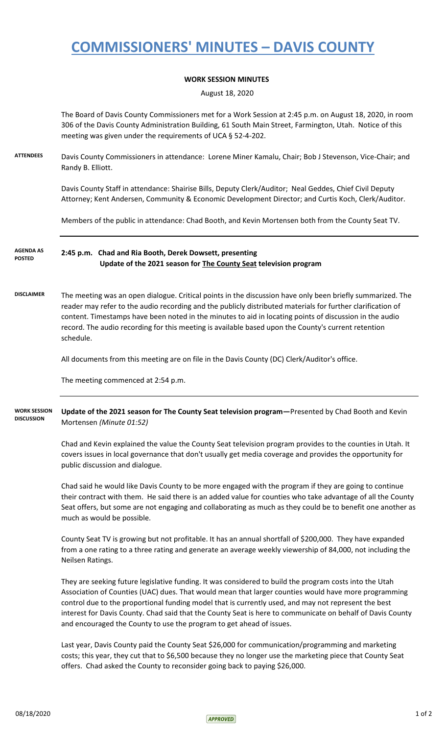## **COMMISSIONERS' MINUTES – DAVIS COUNTY**

## **WORK SESSION MINUTES**

August 18, 2020

The Board of Davis County Commissioners met for a Work Session at 2:45 p.m. on August 18, 2020, in room 306 of the Davis County Administration Building, 61 South Main Street, Farmington, Utah. Notice of this meeting was given under the requirements of UCA § 52-4-202.

**ATTENDEES** Davis County Commissioners in attendance: Lorene Miner Kamalu, Chair; Bob J Stevenson, Vice-Chair; and Randy B. Elliott.

> Davis County Staff in attendance: Shairise Bills, Deputy Clerk/Auditor; Neal Geddes, Chief Civil Deputy Attorney; Kent Andersen, Community & Economic Development Director; and Curtis Koch, Clerk/Auditor.

Members of the public in attendance: Chad Booth, and Kevin Mortensen both from the County Seat TV.

**2:45 p.m. Chad and Ria Booth, Derek Dowsett, presenting Update of the 2021 season for The County Seat television program AGENDA AS POSTED**

**DISCLAIMER** The meeting was an open dialogue. Critical points in the discussion have only been briefly summarized. The reader may refer to the audio recording and the publicly distributed materials for further clarification of content. Timestamps have been noted in the minutes to aid in locating points of discussion in the audio record. The audio recording for this meeting is available based upon the County's current retention schedule.

All documents from this meeting are on file in the Davis County (DC) Clerk/Auditor's office.

The meeting commenced at 2:54 p.m.

**Update of the 2021 season for The County Seat television program—**Presented by Chad Booth and Kevin Mortensen *(Minute 01:52)* **WORK SESSION DISCUSSION**

> Chad and Kevin explained the value the County Seat television program provides to the counties in Utah. It covers issues in local governance that don't usually get media coverage and provides the opportunity for public discussion and dialogue.

Chad said he would like Davis County to be more engaged with the program if they are going to continue their contract with them. He said there is an added value for counties who take advantage of all the County Seat offers, but some are not engaging and collaborating as much as they could be to benefit one another as much as would be possible.

County Seat TV is growing but not profitable. It has an annual shortfall of \$200,000. They have expanded from a one rating to a three rating and generate an average weekly viewership of 84,000, not including the Neilsen Ratings.

They are seeking future legislative funding. It was considered to build the program costs into the Utah Association of Counties (UAC) dues. That would mean that larger counties would have more programming control due to the proportional funding model that is currently used, and may not represent the best interest for Davis County. Chad said that the County Seat is here to communicate on behalf of Davis County and encouraged the County to use the program to get ahead of issues.

Last year, Davis County paid the County Seat \$26,000 for communication/programming and marketing costs; this year, they cut that to \$6,500 because they no longer use the marketing piece that County Seat offers. Chad asked the County to reconsider going back to paying \$26,000.